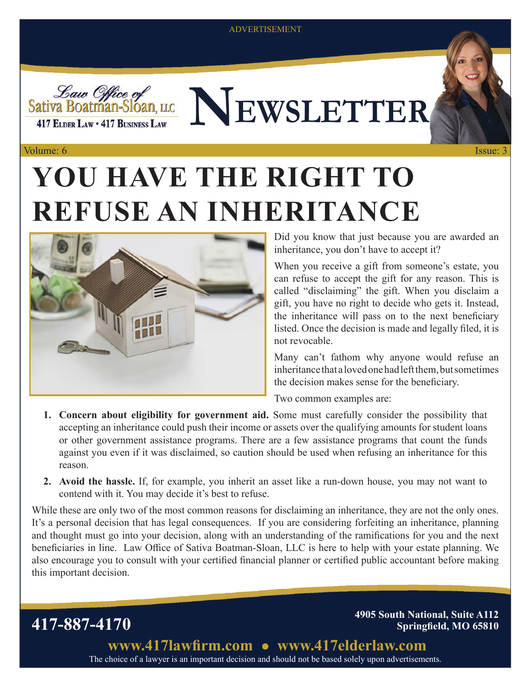#### ADVERTISEMENT



*Law Office of*<br>Sativa Boatman-Sloan, LLC LEWSLETTER

#### Volume: 6 Issue: 3

# **YOU HAVE THE RIGHT TO REFUSE AN INHERITANCE**



Did you know that just because you are awarded an inheritance, you don't have to accept it?

When you receive a gift from someone's estate, you can refuse to accept the gift for any reason. This is called "disclaiming" the gift. When you disclaim a gift, you have no right to decide who gets it. Instead, the inheritance will pass on to the next beneficiary listed. Once the decision is made and legally filed, it is not revocable.

Many can't fathom why anyone would refuse an inheritance that a loved one had left them, but sometimes the decision makes sense for the beneficiary.

Two common examples are:

- **1. Concern about eligibility for government aid.** Some must carefully consider the possibility that accepting an inheritance could push their income or assets over the qualifying amounts for student loans or other government assistance programs. There are a few assistance programs that count the funds against you even if it was disclaimed, so caution should be used when refusing an inheritance for this reason.
- **2. Avoid the hassle.** If, for example, you inherit an asset like a run-down house, you may not want to contend with it. You may decide it's best to refuse.

While these are only two of the most common reasons for disclaiming an inheritance, they are not the only ones. It's a personal decision that has legal consequences. If you are considering forfeiting an inheritance, planning and thought must go into your decision, along with an understanding of the ramifications for you and the next beneficiaries in line. Law Office of Sativa Boatman-Sloan, LLC is here to help with your estate planning. We also encourage you to consult with your certified financial planner or certified public accountant before making this important decision.

**417-887-4170 4905 South National, Suite A112 Springfield, MO 65810**

> **www.417lawfirm.com www.417elderlaw.com** The choice of a lawyer is an important decision and should not be based solely upon advertisements.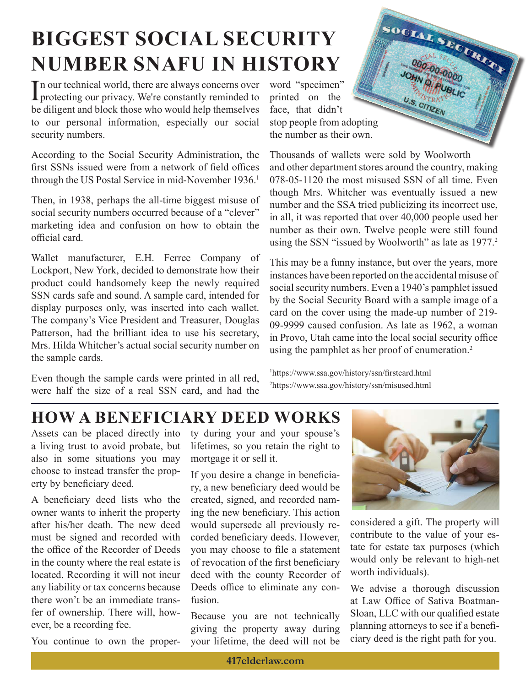## **BIGGEST SOCIAL SECURITY NUMBER SNAFU IN HISTORY**

In our technical world, there are always concerns over<br>protecting our privacy. We're constantly reminded to n our technical world, there are always concerns over be diligent and block those who would help themselves to our personal information, especially our social security numbers.

According to the Social Security Administration, the first SSNs issued were from a network of field offices through the US Postal Service in mid-November 1936.<sup>1</sup>

Then, in 1938, perhaps the all-time biggest misuse of social security numbers occurred because of a "clever" marketing idea and confusion on how to obtain the official card.

Wallet manufacturer, E.H. Ferree Company of Lockport, New York, decided to demonstrate how their product could handsomely keep the newly required SSN cards safe and sound. A sample card, intended for display purposes only, was inserted into each wallet. The company's Vice President and Treasurer, Douglas Patterson, had the brilliant idea to use his secretary, Mrs. Hilda Whitcher's actual social security number on the sample cards.

Even though the sample cards were printed in all red, were half the size of a real SSN card, and had the

word "specimen" printed on the face, that didn't stop people from adopting the number as their own.

Thousands of wallets were sold by Woolworth and other department stores around the country, making 078-05-1120 the most misused SSN of all time. Even though Mrs. Whitcher was eventually issued a new number and the SSA tried publicizing its incorrect use, in all, it was reported that over 40,000 people used her number as their own. Twelve people were still found using the SSN "issued by Woolworth" as late as 1977.<sup>2</sup>

SOCIAL SECURITY

000.000.000

U.S. CITIZEN

This may be a funny instance, but over the years, more instances have been reported on the accidental misuse of social security numbers. Even a 1940's pamphlet issued by the Social Security Board with a sample image of a card on the cover using the made-up number of 219- 09-9999 caused confusion. As late as 1962, a woman in Provo, Utah came into the local social security office using the pamphlet as her proof of enumeration.<sup>2</sup>

1 https://www.ssa.gov/history/ssn/firstcard.html 2 https://www.ssa.gov/history/ssn/misused.html

## **HOW A BENEFICIARY DEED WORKS**

Assets can be placed directly into a living trust to avoid probate, but also in some situations you may choose to instead transfer the property by beneficiary deed.

A beneficiary deed lists who the owner wants to inherit the property after his/her death. The new deed must be signed and recorded with the office of the Recorder of Deeds in the county where the real estate is located. Recording it will not incur any liability or tax concerns because there won't be an immediate transfer of ownership. There will, however, be a recording fee.

You continue to own the proper-

ty during your and your spouse's lifetimes, so you retain the right to mortgage it or sell it.

If you desire a change in beneficiary, a new beneficiary deed would be created, signed, and recorded naming the new beneficiary. This action would supersede all previously recorded beneficiary deeds. However, you may choose to file a statement of revocation of the first beneficiary deed with the county Recorder of Deeds office to eliminate any confusion.

Because you are not technically giving the property away during your lifetime, the deed will not be



considered a gift. The property will contribute to the value of your estate for estate tax purposes (which would only be relevant to high-net worth individuals).

We advise a thorough discussion at Law Office of Sativa Boatman-Sloan, LLC with our qualified estate planning attorneys to see if a beneficiary deed is the right path for you.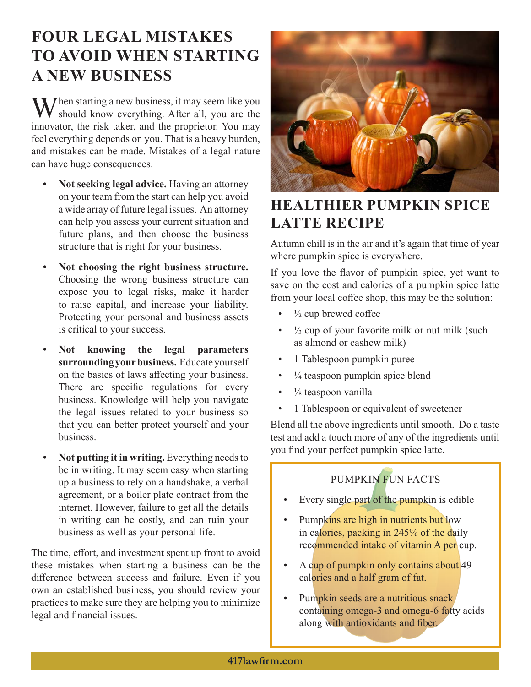## **FOUR LEGAL MISTAKES TO AVOID WHEN STARTING A NEW BUSINESS**

 $\blacksquare$  Then starting a new business, it may seem like you should know everything. After all, you are the innovator, the risk taker, and the proprietor. You may feel everything depends on you. That is a heavy burden, and mistakes can be made. Mistakes of a legal nature can have huge consequences.

- **• Not seeking legal advice.** Having an attorney on your team from the start can help you avoid a wide array of future legal issues. An attorney can help you assess your current situation and future plans, and then choose the business structure that is right for your business.
- **• Not choosing the right business structure.** Choosing the wrong business structure can expose you to legal risks, make it harder to raise capital, and increase your liability. Protecting your personal and business assets is critical to your success.
- **• Not knowing the legal parameters surrounding your business.** Educate yourself on the basics of laws affecting your business. There are specific regulations for every business. Knowledge will help you navigate the legal issues related to your business so that you can better protect yourself and your business.
- **• Not putting it in writing.** Everything needs to be in writing. It may seem easy when starting up a business to rely on a handshake, a verbal agreement, or a boiler plate contract from the internet. However, failure to get all the details in writing can be costly, and can ruin your business as well as your personal life.

The time, effort, and investment spent up front to avoid these mistakes when starting a business can be the difference between success and failure. Even if you own an established business, you should review your practices to make sure they are helping you to minimize legal and financial issues.



### **HEALTHIER PUMPKIN SPICE LATTE RECIPE**

Autumn chill is in the air and it's again that time of year where pumpkin spice is everywhere.

If you love the flavor of pumpkin spice, yet want to save on the cost and calories of a pumpkin spice latte from your local coffee shop, this may be the solution:

- $\frac{1}{2}$  cup brewed coffee
- $\frac{1}{2}$  cup of your favorite milk or nut milk (such as almond or cashew milk)
- 1 Tablespoon pumpkin puree
- $\frac{1}{4}$  teaspoon pumpkin spice blend
- $\cdot$   $\frac{1}{8}$  teaspoon vanilla
- 1 Tablespoon or equivalent of sweetener

Blend all the above ingredients until smooth. Do a taste test and add a touch more of any of the ingredients until you find your perfect pumpkin spice latte.

#### PUMPKIN FUN FACTS

- Every single part of the pumpkin is edible
- Pumpkins are high in nutrients but low in calories, packing in 245% of the daily recommended intake of vitamin A per cup.
- A cup of pumpkin only contains about 49 calories and a half gram of fat.
- Pumpkin seeds are a nutritious snack containing omega-3 and omega-6 fatty acids along with antioxidants and fiber.